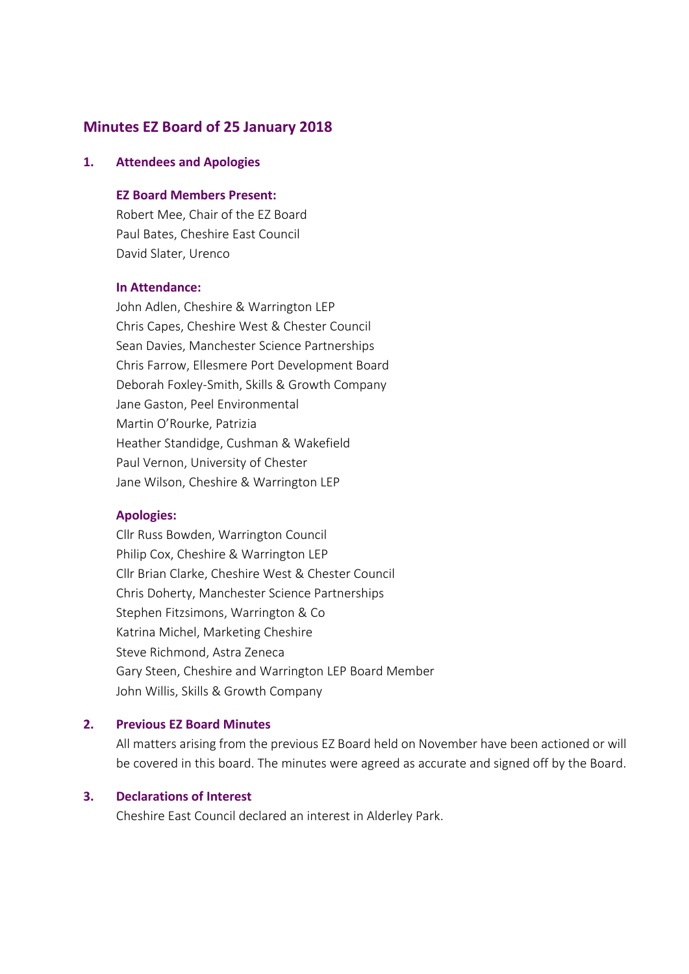# **Minutes EZ Board of 25 January 2018**

### **1. Attendees and Apologies**

## **EZ Board Members Present:**

Robert Mee, Chair of the EZ Board Paul Bates, Cheshire East Council David Slater, Urenco

### **In Attendance:**

John Adlen, Cheshire & Warrington LEP Chris Capes, Cheshire West & Chester Council Sean Davies, Manchester Science Partnerships Chris Farrow, Ellesmere Port Development Board Deborah Foxley-Smith, Skills & Growth Company Jane Gaston, Peel Environmental Martin O'Rourke, Patrizia Heather Standidge, Cushman & Wakefield Paul Vernon, University of Chester Jane Wilson, Cheshire & Warrington LEP

#### **Apologies:**

Cllr Russ Bowden, Warrington Council Philip Cox, Cheshire & Warrington LEP Cllr Brian Clarke, Cheshire West & Chester Council Chris Doherty, Manchester Science Partnerships Stephen Fitzsimons, Warrington & Co Katrina Michel, Marketing Cheshire Steve Richmond, Astra Zeneca Gary Steen, Cheshire and Warrington LEP Board Member John Willis, Skills & Growth Company

### **2. Previous EZ Board Minutes**

All matters arising from the previous EZ Board held on November have been actioned or will be covered in this board. The minutes were agreed as accurate and signed off by the Board.

### **3. Declarations of Interest**

Cheshire East Council declared an interest in Alderley Park.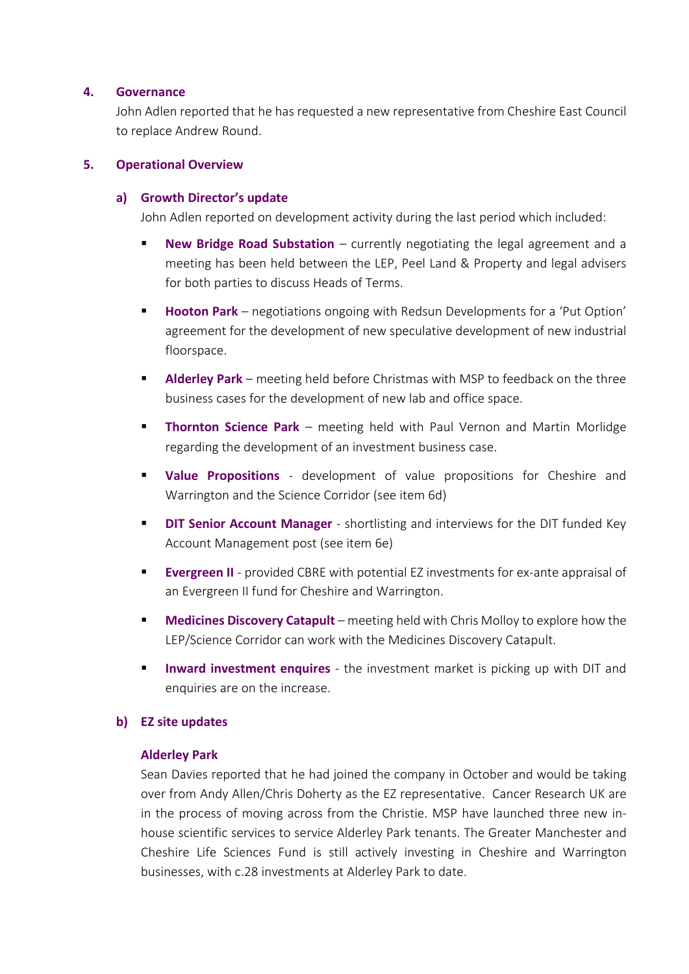## **4. Governance**

John Adlen reported that he has requested a new representative from Cheshire East Council to replace Andrew Round.

## **5. Operational Overview**

## **a) Growth Director's update**

John Adlen reported on development activity during the last period which included:

- **New Bridge Road Substation** currently negotiating the legal agreement and a meeting has been held between the LEP, Peel Land & Property and legal advisers for both parties to discuss Heads of Terms.
- **Hooton Park** negotiations ongoing with Redsun Developments for a 'Put Option' agreement for the development of new speculative development of new industrial floorspace.
- **Alderley Park** meeting held before Christmas with MSP to feedback on the three business cases for the development of new lab and office space.
- **Thornton Science Park** meeting held with Paul Vernon and Martin Morlidge regarding the development of an investment business case.
- **Value Propositions** development of value propositions for Cheshire and Warrington and the Science Corridor (see item 6d)
- **DIT Senior Account Manager** shortlisting and interviews for the DIT funded Key Account Management post (see item 6e)
- **Evergreen II** provided CBRE with potential EZ investments for ex-ante appraisal of an Evergreen II fund for Cheshire and Warrington.
- **Medicines Discovery Catapult** meeting held with Chris Molloy to explore how the LEP/Science Corridor can work with the Medicines Discovery Catapult.
- **Inward investment enquires** the investment market is picking up with DIT and enquiries are on the increase.

# **b) EZ site updates**

## **Alderley Park**

Sean Davies reported that he had joined the company in October and would be taking over from Andy Allen/Chris Doherty as the EZ representative. Cancer Research UK are in the process of moving across from the Christie. MSP have launched three new inhouse scientific services to service Alderley Park tenants. The Greater Manchester and Cheshire Life Sciences Fund is still actively investing in Cheshire and Warrington businesses, with c.28 investments at Alderley Park to date.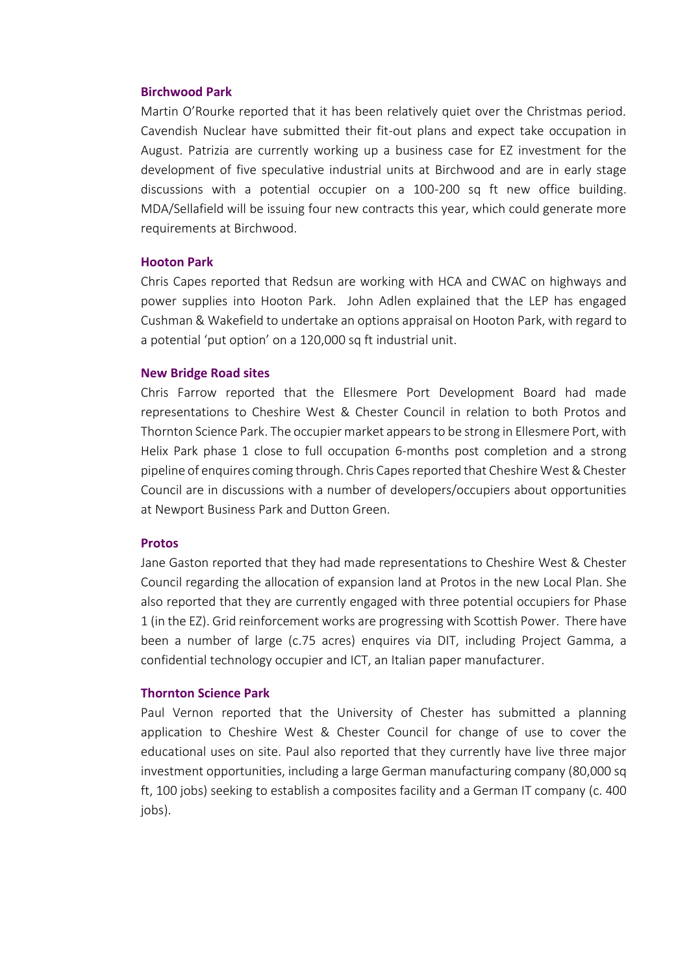#### **Birchwood Park**

Martin O'Rourke reported that it has been relatively quiet over the Christmas period. Cavendish Nuclear have submitted their fit-out plans and expect take occupation in August. Patrizia are currently working up a business case for EZ investment for the development of five speculative industrial units at Birchwood and are in early stage discussions with a potential occupier on a 100-200 sq ft new office building. MDA/Sellafield will be issuing four new contracts this year, which could generate more requirements at Birchwood.

### **Hooton Park**

Chris Capes reported that Redsun are working with HCA and CWAC on highways and power supplies into Hooton Park. John Adlen explained that the LEP has engaged Cushman & Wakefield to undertake an options appraisal on Hooton Park, with regard to a potential 'put option' on a 120,000 sq ft industrial unit.

### **New Bridge Road sites**

Chris Farrow reported that the Ellesmere Port Development Board had made representations to Cheshire West & Chester Council in relation to both Protos and Thornton Science Park. The occupier market appears to be strong in Ellesmere Port, with Helix Park phase 1 close to full occupation 6-months post completion and a strong pipeline of enquires coming through. Chris Capes reported that Cheshire West & Chester Council are in discussions with a number of developers/occupiers about opportunities at Newport Business Park and Dutton Green.

#### **Protos**

Jane Gaston reported that they had made representations to Cheshire West & Chester Council regarding the allocation of expansion land at Protos in the new Local Plan. She also reported that they are currently engaged with three potential occupiers for Phase 1 (in the EZ). Grid reinforcement works are progressing with Scottish Power. There have been a number of large (c.75 acres) enquires via DIT, including Project Gamma, a confidential technology occupier and ICT, an Italian paper manufacturer.

#### **Thornton Science Park**

Paul Vernon reported that the University of Chester has submitted a planning application to Cheshire West & Chester Council for change of use to cover the educational uses on site. Paul also reported that they currently have live three major investment opportunities, including a large German manufacturing company (80,000 sq ft, 100 jobs) seeking to establish a composites facility and a German IT company (c. 400 jobs).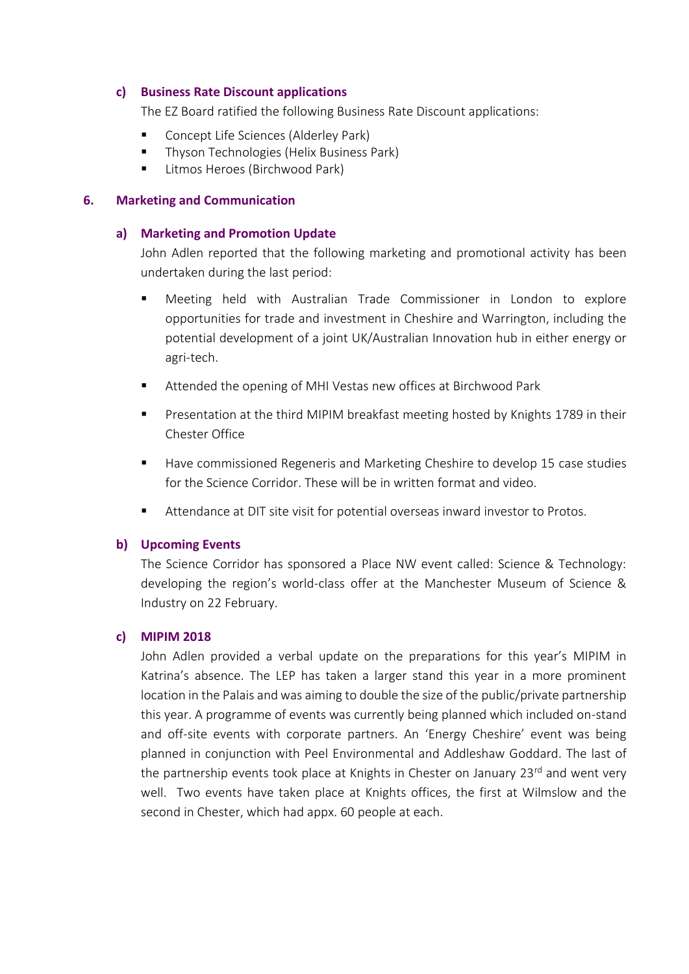## **c) Business Rate Discount applications**

The EZ Board ratified the following Business Rate Discount applications:

- Concept Life Sciences (Alderley Park)
- Thyson Technologies (Helix Business Park)
- Litmos Heroes (Birchwood Park)

# **6. Marketing and Communication**

# **a) Marketing and Promotion Update**

John Adlen reported that the following marketing and promotional activity has been undertaken during the last period:

- Meeting held with Australian Trade Commissioner in London to explore opportunities for trade and investment in Cheshire and Warrington, including the potential development of a joint UK/Australian Innovation hub in either energy or agri-tech.
- Attended the opening of MHI Vestas new offices at Birchwood Park
- Presentation at the third MIPIM breakfast meeting hosted by Knights 1789 in their Chester Office
- Have commissioned Regeneris and Marketing Cheshire to develop 15 case studies for the Science Corridor. These will be in written format and video.
- Attendance at DIT site visit for potential overseas inward investor to Protos.

# **b) Upcoming Events**

The Science Corridor has sponsored a Place NW event called: Science & Technology: developing the region's world-class offer at the Manchester Museum of Science & Industry on 22 February.

# **c) MIPIM 2018**

John Adlen provided a verbal update on the preparations for this year's MIPIM in Katrina's absence. The LEP has taken a larger stand this year in a more prominent location in the Palais and was aiming to double the size of the public/private partnership this year. A programme of events was currently being planned which included on-stand and off-site events with corporate partners. An 'Energy Cheshire' event was being planned in conjunction with Peel Environmental and Addleshaw Goddard. The last of the partnership events took place at Knights in Chester on January 23<sup>rd</sup> and went very well. Two events have taken place at Knights offices, the first at Wilmslow and the second in Chester, which had appx. 60 people at each.